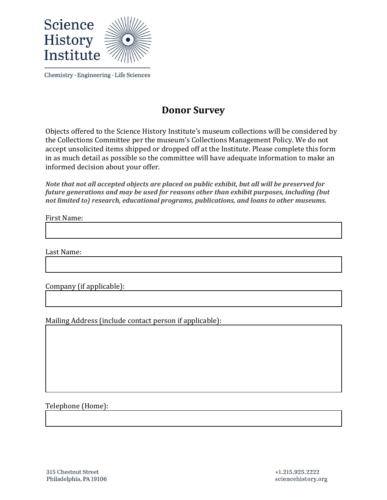

## **Donor Survey**

Objects offered to the Science History Institute's museum collections will be considered by the Collections Committee per the museum's Collections Management Policy. We do not accept unsolicited items shipped or dropped off at the Institute. Please complete this form in as much detail as possible so the committee will have adequate information to make an informed decision about your offer.

*Note that not all accepted objects are placed on public exhibit, but all will be preserved for future generations and may be used for reasons other than exhibit purposes, including (but not limited to) research, educational programs, publications, and loans to other museums.*

First Name:

Last Name:

Company (if applicable):

Mailing Address (include contact person if applicable):

Telephone (Home):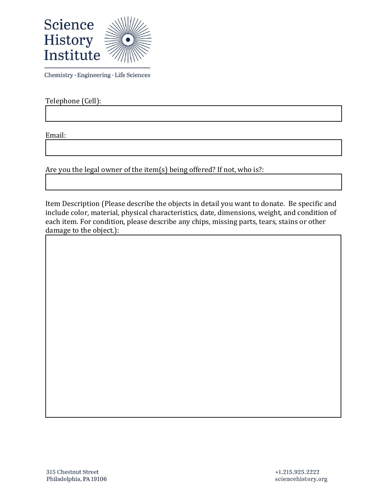

Telephone (Cell):

Email:

Are you the legal owner of the item(s) being offered? If not, who is?:

Item Description (Please describe the objects in detail you want to donate. Be specific and include color, material, physical characteristics, date, dimensions, weight, and condition of each item. For condition, please describe any chips, missing parts, tears, stains or other damage to the object.):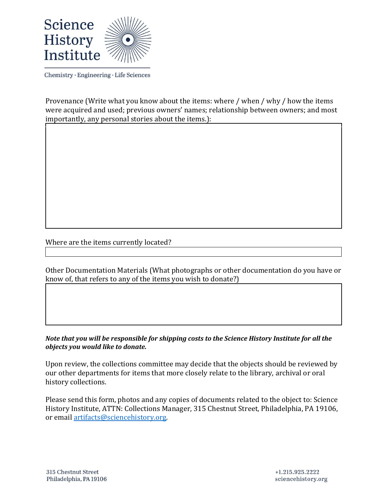

Provenance (Write what you know about the items: where / when / why / how the items were acquired and used; previous owners' names; relationship between owners; and most importantly, any personal stories about the items.):

## Where are the items currently located?

Other Documentation Materials (What photographs or other documentation do you have or know of, that refers to any of the items you wish to donate?)

*Note that you will be responsible for shipping costs to the Science History Institute for all the objects you would like to donate.*

Upon review, the collections committee may decide that the objects should be reviewed by our other departments for items that more closely relate to the library, archival or oral history collections.

Please send this form, photos and any copies of documents related to the object to: Science History Institute, ATTN: Collections Manager, 315 Chestnut Street, Philadelphia, PA 19106, or email [artifacts@sciencehistory.org.](mailto:artifacts@sciencehistory.org)